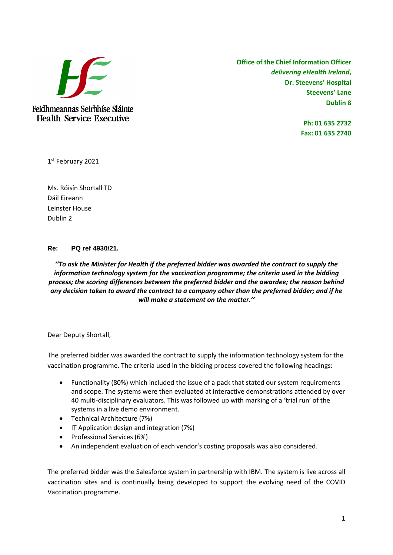

Feidhmeannas Seirbhíse Sláinte **Health Service Executive** 

**Office of the Chief Information Officer** *delivering eHealth Ireland***, Dr. Steevens' Hospital Steevens' Lane Dublin 8**

> **Ph: 01 635 2732 Fax: 01 635 2740**

1 st February 2021

Ms. Róisín Shortall TD Dáil Eireann Leinster House Dublin 2

## **Re: PQ ref 4930/21.**

*''To ask the Minister for Health if the preferred bidder was awarded the contract to supply the information technology system for the vaccination programme; the criteria used in the bidding process; the scoring differences between the preferred bidder and the awardee; the reason behind any decision taken to award the contract to a company other than the preferred bidder; and if he will make a statement on the matter.''*

Dear Deputy Shortall,

The preferred bidder was awarded the contract to supply the information technology system for the vaccination programme. The criteria used in the bidding process covered the following headings:

- Functionality (80%) which included the issue of a pack that stated our system requirements and scope. The systems were then evaluated at interactive demonstrations attended by over 40 multi-disciplinary evaluators. This was followed up with marking of a 'trial run' of the systems in a live demo environment.
- Technical Architecture (7%)
- **•** IT Application design and integration (7%)
- Professional Services (6%)
- An independent evaluation of each vendor's costing proposals was also considered.

The preferred bidder was the Salesforce system in partnership with IBM. The system is live across all vaccination sites and is continually being developed to support the evolving need of the COVID Vaccination programme.